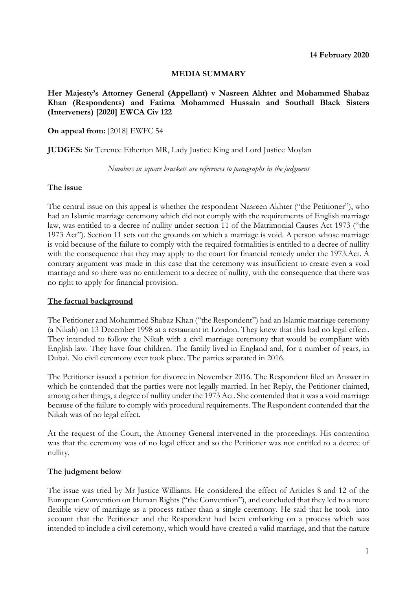## **MEDIA SUMMARY**

## **Her Majesty's Attorney General (Appellant) v Nasreen Akhter and Mohammed Shabaz Khan (Respondents) and Fatima Mohammed Hussain and Southall Black Sisters (Interveners) [2020] EWCA Civ 122**

## **On appeal from:** [2018] EWFC 54

**JUDGES:** Sir Terence Etherton MR, Lady Justice King and Lord Justice Moylan

*Numbers in square brackets are references to paragraphs in the judgment*

#### **The issue**

The central issue on this appeal is whether the respondent Nasreen Akhter ("the Petitioner"), who had an Islamic marriage ceremony which did not comply with the requirements of English marriage law, was entitled to a decree of nullity under section 11 of the Matrimonial Causes Act 1973 ("the 1973 Act"). Section 11 sets out the grounds on which a marriage is void. A person whose marriage is void because of the failure to comply with the required formalities is entitled to a decree of nullity with the consequence that they may apply to the court for financial remedy under the 1973.Act. A contrary argument was made in this case that the ceremony was insufficient to create even a void marriage and so there was no entitlement to a decree of nullity, with the consequence that there was no right to apply for financial provision.

## **The factual background**

The Petitioner and Mohammed Shabaz Khan ("the Respondent") had an Islamic marriage ceremony (a Nikah) on 13 December 1998 at a restaurant in London. They knew that this had no legal effect. They intended to follow the Nikah with a civil marriage ceremony that would be compliant with English law. They have four children. The family lived in England and, for a number of years, in Dubai. No civil ceremony ever took place. The parties separated in 2016.

The Petitioner issued a petition for divorce in November 2016. The Respondent filed an Answer in which he contended that the parties were not legally married. In her Reply, the Petitioner claimed, among other things, a degree of nullity under the 1973 Act. She contended that it was a void marriage because of the failure to comply with procedural requirements. The Respondent contended that the Nikah was of no legal effect.

At the request of the Court, the Attorney General intervened in the proceedings. His contention was that the ceremony was of no legal effect and so the Petitioner was not entitled to a decree of nullity.

## **The judgment below**

The issue was tried by Mr Justice Williams. He considered the effect of Articles 8 and 12 of the European Convention on Human Rights ("the Convention"), and concluded that they led to a more flexible view of marriage as a process rather than a single ceremony. He said that he took into account that the Petitioner and the Respondent had been embarking on a process which was intended to include a civil ceremony, which would have created a valid marriage, and that the nature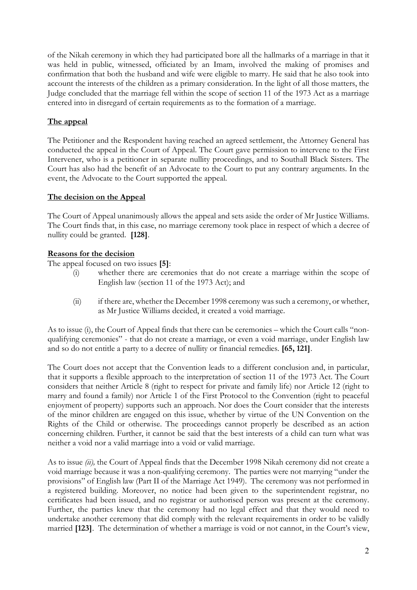of the Nikah ceremony in which they had participated bore all the hallmarks of a marriage in that it was held in public, witnessed, officiated by an Imam, involved the making of promises and confirmation that both the husband and wife were eligible to marry. He said that he also took into account the interests of the children as a primary consideration. In the light of all those matters, the Judge concluded that the marriage fell within the scope of section 11 of the 1973 Act as a marriage entered into in disregard of certain requirements as to the formation of a marriage.

# **The appeal**

The Petitioner and the Respondent having reached an agreed settlement, the Attorney General has conducted the appeal in the Court of Appeal. The Court gave permission to intervene to the First Intervener, who is a petitioner in separate nullity proceedings, and to Southall Black Sisters. The Court has also had the benefit of an Advocate to the Court to put any contrary arguments. In the event, the Advocate to the Court supported the appeal.

# **The decision on the Appeal**

The Court of Appeal unanimously allows the appeal and sets aside the order of Mr Justice Williams. The Court finds that, in this case, no marriage ceremony took place in respect of which a decree of nullity could be granted. **[128]**.

# **Reasons for the decision**

The appeal focused on two issues **[5]**:

- (i) whether there are ceremonies that do not create a marriage within the scope of English law (section 11 of the 1973 Act); and
- (ii) if there are, whether the December 1998 ceremony was such a ceremony, or whether, as Mr Justice Williams decided, it created a void marriage.

As to issue (i), the Court of Appeal finds that there can be ceremonies – which the Court calls "nonqualifying ceremonies" - that do not create a marriage, or even a void marriage, under English law and so do not entitle a party to a decree of nullity or financial remedies. **[65, 121]**.

The Court does not accept that the Convention leads to a different conclusion and, in particular, that it supports a flexible approach to the interpretation of section 11 of the 1973 Act. The Court considers that neither Article 8 (right to respect for private and family life) nor Article 12 (right to marry and found a family) nor Article 1 of the First Protocol to the Convention (right to peaceful enjoyment of property) supports such an approach. Nor does the Court consider that the interests of the minor children are engaged on this issue, whether by virtue of the UN Convention on the Rights of the Child or otherwise. The proceedings cannot properly be described as an action concerning children. Further, it cannot be said that the best interests of a child can turn what was neither a void nor a valid marriage into a void or valid marriage.

As to issue *(ii),* the Court of Appeal finds that the December 1998 Nikah ceremony did not create a void marriage because it was a non-qualifying ceremony. The parties were not marrying "under the provisions" of English law (Part II of the Marriage Act 1949). The ceremony was not performed in a registered building. Moreover, no notice had been given to the superintendent registrar, no certificates had been issued, and no registrar or authorised person was present at the ceremony. Further, the parties knew that the ceremony had no legal effect and that they would need to undertake another ceremony that did comply with the relevant requirements in order to be validly married **[123]**. The determination of whether a marriage is void or not cannot, in the Court's view,